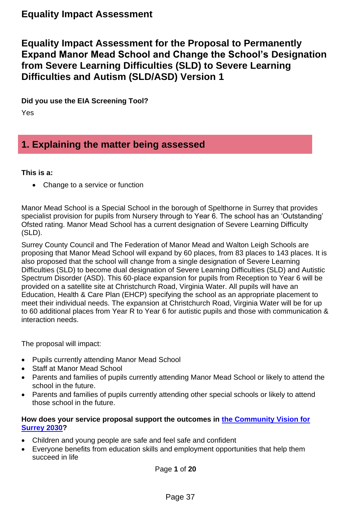**Equality Impact Assessment for the Proposal to Permanently Expand Manor Mead School and Change the School's Designation from Severe Learning Difficulties (SLD) to Severe Learning Difficulties and Autism (SLD/ASD) Version 1**

**Did you use the EIA Screening Tool?** 

Yes

## **1. Explaining the matter being assessed**

## **This is a:**

• Change to a service or function

Manor Mead School is a Special School in the borough of Spelthorne in Surrey that provides specialist provision for pupils from Nursery through to Year 6. The school has an 'Outstanding' Ofsted rating. Manor Mead School has a current designation of Severe Learning Difficulty (SLD).

Surrey County Council and The Federation of Manor Mead and Walton Leigh Schools are proposing that Manor Mead School will expand by 60 places, from 83 places to 143 places. It is also proposed that the school will change from a single designation of Severe Learning Difficulties (SLD) to become dual designation of Severe Learning Difficulties (SLD) and Autistic Spectrum Disorder (ASD). This 60-place expansion for pupils from Reception to Year 6 will be provided on a satellite site at Christchurch Road, Virginia Water. All pupils will have an Education, Health & Care Plan (EHCP) specifying the school as an appropriate placement to meet their individual needs. The expansion at Christchurch Road, Virginia Water will be for up to 60 additional places from Year R to Year 6 for autistic pupils and those with communication & interaction needs.

The proposal will impact:

- Pupils currently attending Manor Mead School
- Staff at Manor Mead School
- Parents and families of pupils currently attending Manor Mead School or likely to attend the school in the future.
- Parents and families of pupils currently attending other special schools or likely to attend those school in the future.

### **How does your service proposal support the outcomes in [the Community Vision for](https://www.surreycc.gov.uk/council-and-democracy/finance-and-performance/our-performance/our-organisation-strategy/community-vision-for-surrey-in-2030)  [Surrey 2030?](https://www.surreycc.gov.uk/council-and-democracy/finance-and-performance/our-performance/our-organisation-strategy/community-vision-for-surrey-in-2030)**

- Children and young people are safe and feel safe and confident
- Everyone benefits from education skills and employment opportunities that help them succeed in life

Page **1** of **20**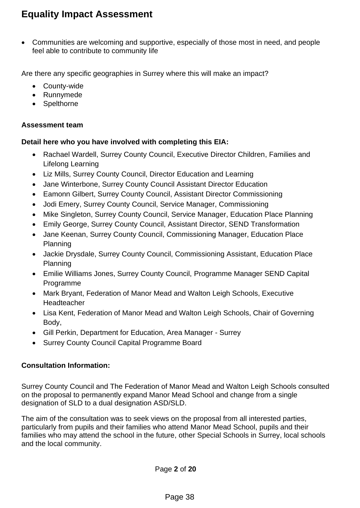• Communities are welcoming and supportive, especially of those most in need, and people feel able to contribute to community life

Are there any specific geographies in Surrey where this will make an impact?

- County-wide
- Runnymede
- Spelthorne

### **Assessment team**

## **Detail here who you have involved with completing this EIA:**

- Rachael Wardell, Surrey County Council, Executive Director Children, Families and Lifelong Learning
- Liz Mills, Surrey County Council, Director Education and Learning
- Jane Winterbone, Surrey County Council Assistant Director Education
- Eamonn Gilbert, Surrey County Council, Assistant Director Commissioning
- Jodi Emery, Surrey County Council, Service Manager, Commissioning
- Mike Singleton, Surrey County Council, Service Manager, Education Place Planning
- Emily George, Surrey County Council, Assistant Director, SEND Transformation
- Jane Keenan, Surrey County Council, Commissioning Manager, Education Place Planning
- Jackie Drysdale, Surrey County Council, Commissioning Assistant, Education Place Planning
- Emilie Williams Jones, Surrey County Council, Programme Manager SEND Capital Programme
- Mark Bryant, Federation of Manor Mead and Walton Leigh Schools, Executive Headteacher
- Lisa Kent, Federation of Manor Mead and Walton Leigh Schools, Chair of Governing Body,
- Gill Perkin, Department for Education, Area Manager Surrey
- Surrey County Council Capital Programme Board

## **Consultation Information:**

Surrey County Council and The Federation of Manor Mead and Walton Leigh Schools consulted on the proposal to permanently expand Manor Mead School and change from a single designation of SLD to a dual designation ASD/SLD.

The aim of the consultation was to seek views on the proposal from all interested parties, particularly from pupils and their families who attend Manor Mead School, pupils and their families who may attend the school in the future, other Special Schools in Surrey, local schools and the local community.

Page **2** of **20**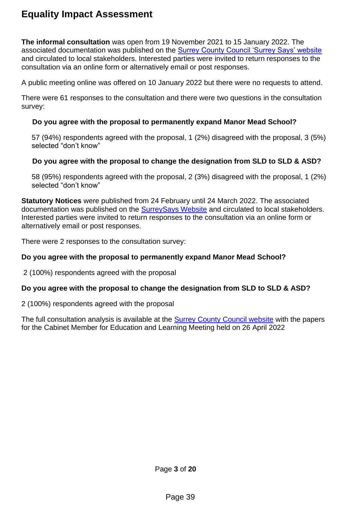**The informal consultation** was open from 19 November 2021 to 15 January 2022. The associated documentation was published on the [Surrey County Council 'Surrey Says' website](https://www.surreysays.co.uk/csf/manor-mead-school/supporting_documents/Manor%20Mead%20Expansion%20Informal%20FINAL.pdf) and circulated to local stakeholders. Interested parties were invited to return responses to the consultation via an online form or alternatively email or post responses.

A public meeting online was offered on 10 January 2022 but there were no requests to attend.

There were 61 responses to the consultation and there were two questions in the consultation survey:

### **Do you agree with the proposal to permanently expand Manor Mead School?**

57 (94%) respondents agreed with the proposal, 1 (2%) disagreed with the proposal, 3 (5%) selected "don't know"

### **Do you agree with the proposal to change the designation from SLD to SLD & ASD?**

58 (95%) respondents agreed with the proposal, 2 (3%) disagreed with the proposal, 1 (2%) selected "don't know"

**Statutory Notices** were published from 24 February until 24 March 2022. The associated documentation was published on the **SurreySays Website and circulated to local stakeholders.** Interested parties were invited to return responses to the consultation via an online form or alternatively email or post responses.

There were 2 responses to the consultation survey:

### **Do you agree with the proposal to permanently expand Manor Mead School?**

2 (100%) respondents agreed with the proposal

### **Do you agree with the proposal to change the designation from SLD to SLD & ASD?**

2 (100%) respondents agreed with the proposal

The full consultation analysis is available at the [Surrey County Council website](https://mycouncil.surreycc.gov.uk/mgCommitteeDetails.aspx?ID=717) with the papers for the Cabinet Member for Education and Learning Meeting held on 26 April 2022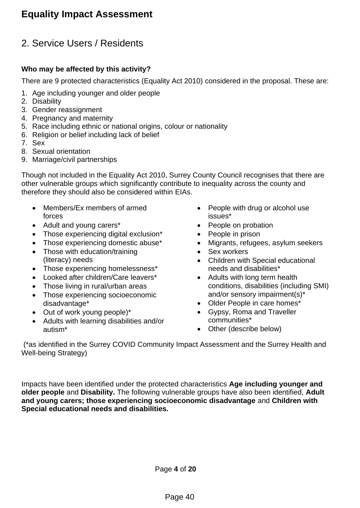## 2. Service Users / Residents

## **Who may be affected by this activity?**

There are 9 protected characteristics (Equality Act 2010) considered in the proposal. These are:

- 1. Age including younger and older people
- 2. Disability
- 3. Gender reassignment
- 4. Pregnancy and maternity
- 5. Race including ethnic or national origins, colour or nationality
- 6. Religion or belief including lack of belief
- 7. Sex
- 8. Sexual orientation
- 9. Marriage/civil partnerships

Though not included in the Equality Act 2010, Surrey County Council recognises that there are other vulnerable groups which significantly contribute to inequality across the county and therefore they should also be considered within EIAs.

- Members/Ex members of armed forces
- Adult and young carers\*
- Those experiencing digital exclusion\*
- Those experiencing domestic abuse\*
- Those with education/training (literacy) needs
- Those experiencing homelessness\*
- Looked after children/Care leavers\*
- Those living in rural/urban areas
- Those experiencing socioeconomic disadvantage\*
- Out of work young people)\*
- Adults with learning disabilities and/or autism\*
- People with drug or alcohol use issues\*
- People on probation
- People in prison
- Migrants, refugees, asylum seekers
- Sex workers
- Children with Special educational needs and disabilities\*
- Adults with long term health conditions, disabilities (including SMI) and/or sensory impairment(s)\*
- Older People in care homes\*
- Gypsy, Roma and Traveller communities\*
- Other (describe below)

(\*as identified in the Surrey COVID Community Impact Assessment and the Surrey Health and Well-being Strategy)

Impacts have been identified under the protected characteristics **Age including younger and older people** and **Disability.** The following vulnerable groups have also been identified, **Adult and young carers; those experiencing socioeconomic disadvantage** and **Children with Special educational needs and disabilities.**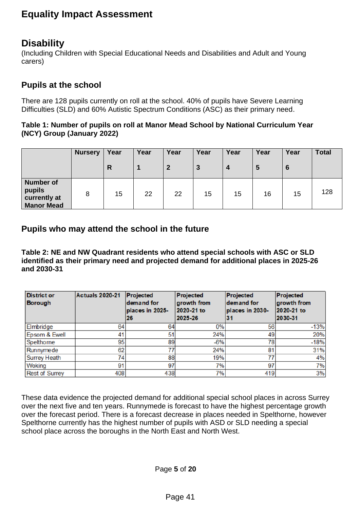## <span id="page-4-0"></span>**Disability**

(Including Children with Special Educational Needs and Disabilities and Adult and Young carers)

## **Pupils at the school**

There are 128 pupils currently on roll at the school. 40% of pupils have Severe Learning Difficulties (SLD) and 60% Autistic Spectrum Conditions (ASC) as their primary need.

### **Table 1: Number of pupils on roll at Manor Mead School by National Curriculum Year (NCY) Group (January 2022)**

|                                                                 | <b>Nursery</b> | Year<br>$\mathsf{R}$ | Year | Year<br>$\mathbf{2}$ | Year<br>3 | Year<br>$\overline{4}$ | Year<br>5 | Year<br>$6\phantom{1}6$ | <b>Total</b> |
|-----------------------------------------------------------------|----------------|----------------------|------|----------------------|-----------|------------------------|-----------|-------------------------|--------------|
| <b>Number of</b><br>pupils<br>currently at<br><b>Manor Mead</b> | 8              | 15                   | 22   | 22                   | 15        | 15                     | 16        | 15                      | 128          |

## **Pupils who may attend the school in the future**

**Table 2: NE and NW Quadrant residents who attend special schools with ASC or SLD identified as their primary need and projected demand for additional places in 2025-26 and 2030-31**

| <b>District or</b><br><b>Borough</b> | <b>Actuals 2020-21</b> | Projected<br>demand for<br>places in 2025-<br>26 | Projected<br>growth from<br>2020-21 to<br>2025-26 | Projected<br>demand for<br>places in 2030-<br>31 | Projected<br>growth from<br>2020-21 to<br>2030-31 |
|--------------------------------------|------------------------|--------------------------------------------------|---------------------------------------------------|--------------------------------------------------|---------------------------------------------------|
| Elmbridge                            | 64                     | 64                                               | 0%                                                | 56                                               | $-13%$                                            |
| Epsom & Ewell                        | 41                     | 51                                               | 24%                                               | 49                                               | 20%                                               |
| Spelthorne                           | 95                     | 89                                               | $-6%$                                             | 78                                               | $-18%$                                            |
| Runnymede                            | 62                     | 77                                               | 24%                                               | 81                                               | 31%                                               |
| <b>Surrey Heath</b>                  | 74                     | 88                                               | 19%                                               |                                                  | 4%                                                |
| Woking                               | 91                     | 97                                               | 7%                                                | 97                                               | 7%                                                |
| <b>Rest of Surrey</b>                | 408                    | 438                                              | 7%                                                | 419                                              | 3%                                                |

These data evidence the projected demand for additional special school places in across Surrey over the next five and ten years. Runnymede is forecast to have the highest percentage growth over the forecast period. There is a forecast decrease in places needed in Spelthorne, however Spelthorne currently has the highest number of pupils with ASD or SLD needing a special school place across the boroughs in the North East and North West.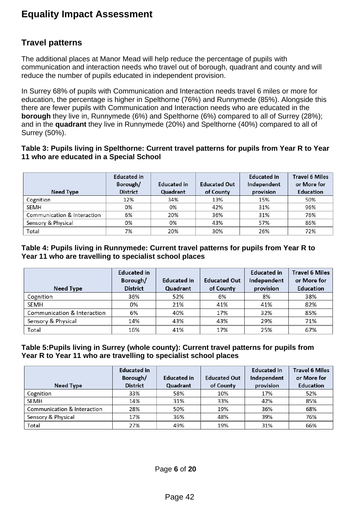## **Travel patterns**

The additional places at Manor Mead will help reduce the percentage of pupils with communication and interaction needs who travel out of borough, quadrant and county and will reduce the number of pupils educated in independent provision.

In Surrey 68% of pupils with Communication and Interaction needs travel 6 miles or more for education, the percentage is higher in Spelthorne (76%) and Runnymede (85%). Alongside this there are fewer pupils with Communication and Interaction needs who are educated in the **borough** they live in, Runnymede (6%) and Spelthorne (6%) compared to all of Surrey (28%); and in the **quadrant** they live in Runnymede (20%) and Spelthorne (40%) compared to all of Surrey (50%).

### **Table 3: Pupils living in Spelthorne: Current travel patterns for pupils from Year R to Year 11 who are educated in a Special School**

| Need Type                   | <b>Educated in</b><br>Borough/<br><b>District</b> | <b>Educated in</b><br>Quadrant | <b>Educated Out</b><br>of County | <b>Educated in</b><br>Independent<br>provision | <b>Travel 6 Miles</b><br>or More for<br><b>Education</b> |
|-----------------------------|---------------------------------------------------|--------------------------------|----------------------------------|------------------------------------------------|----------------------------------------------------------|
| Cognition                   | 12%                                               | 34%                            | 13%                              | 15%                                            | 50%                                                      |
| <b>SEMH</b>                 | 0%                                                | 0%                             | 42%                              | 31%                                            | 96%                                                      |
| Communication & Interaction | 6%                                                | 20%                            | 36%                              | 31%                                            | 76%                                                      |
| Sensory & Physical          | 0%                                                | 0%                             | 43%                              | 57%                                            | 86%                                                      |
| Total                       | 7%                                                | 20%                            | 30%                              | 26%                                            | 72%                                                      |

### **Table 4: Pupils living in Runnymede: Current travel patterns for pupils from Year R to Year 11 who are travelling to specialist school places**

|                             | <b>Educated in</b><br>Borough/ | Educated in | <b>Educated Out</b> | <b>Educated in</b><br>Independent | <b>Travel 6 Miles</b><br>or More for |
|-----------------------------|--------------------------------|-------------|---------------------|-----------------------------------|--------------------------------------|
| Need Type                   | <b>District</b>                | Quadrant    | of County           | provision                         | <b>Education</b>                     |
| Cognition                   | 36%                            | 52%         | 6%                  | 8%                                | 38%                                  |
| SEMH                        | 0%                             | 21%         | 41%                 | 41%                               | 82%                                  |
| Communication & Interaction | 6%                             | 40%         | 17%                 | 32%                               | 85%                                  |
| Sensory & Physical          | 14%                            | 43%         | 43%                 | 29%                               | 71%                                  |
| Total                       | 16%                            | 41%         | 17%                 | 25%                               | 67%                                  |

### **Table 5:Pupils living in Surrey (whole county): Current travel patterns for pupils from Year R to Year 11 who are travelling to specialist school places**

|                             | <b>Educated in</b> |                    |                     | <b>Educated in</b> | <b>Travel 6 Miles</b> |
|-----------------------------|--------------------|--------------------|---------------------|--------------------|-----------------------|
|                             | Borough/           | <b>Educated in</b> | <b>Educated Out</b> | Independent        | or More for           |
| Need Type                   | <b>District</b>    | Quadrant           | of County           | provision          | <b>Education</b>      |
| Cognition                   | 33%                | 58%                | 10%                 | 17%                | 52%                   |
| <b>SEMH</b>                 | 14%                | 31%                | 33%                 | 42%                | 85%                   |
| Communication & Interaction | 28%                | 50%                | 19%                 | 36%                | 68%                   |
| Sensory & Physical          | 17%                | 36%                | 48%                 | 39%                | 76%                   |
| Total                       | 27%                | 49%                | 19%                 | 31%                | 66%                   |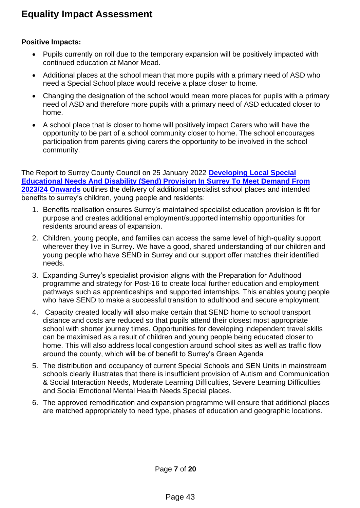## **Positive Impacts:**

- Pupils currently on roll due to the temporary expansion will be positively impacted with continued education at Manor Mead.
- Additional places at the school mean that more pupils with a primary need of ASD who need a Special School place would receive a place closer to home.
- Changing the designation of the school would mean more places for pupils with a primary need of ASD and therefore more pupils with a primary need of ASD educated closer to home.
- A school place that is closer to home will positively impact Carers who will have the opportunity to be part of a school community closer to home. The school encourages participation from parents giving carers the opportunity to be involved in the school community.

The Report to Surrey County Council on 25 January 2022 **[Developing Local Special](https://surreyccinternalportallb.surreycc.gov.uk/irj/portal)  [Educational Needs And Disability \(Send\) Provision In Surrey To Meet Demand From](https://surreyccinternalportallb.surreycc.gov.uk/irj/portal)  [2023/24 Onwards](https://surreyccinternalportallb.surreycc.gov.uk/irj/portal)** outlines the delivery of additional specialist school places and intended benefits to surrey's children, young people and residents:

- 1. Benefits realisation ensures Surrey's maintained specialist education provision is fit for purpose and creates additional employment/supported internship opportunities for residents around areas of expansion.
- 2. Children, young people, and families can access the same level of high-quality support wherever they live in Surrey. We have a good, shared understanding of our children and young people who have SEND in Surrey and our support offer matches their identified needs.
- 3. Expanding Surrey's specialist provision aligns with the Preparation for Adulthood programme and strategy for Post-16 to create local further education and employment pathways such as apprenticeships and supported internships. This enables young people who have SEND to make a successful transition to adulthood and secure employment.
- 4. Capacity created locally will also make certain that SEND home to school transport distance and costs are reduced so that pupils attend their closest most appropriate school with shorter journey times. Opportunities for developing independent travel skills can be maximised as a result of children and young people being educated closer to home. This will also address local congestion around school sites as well as traffic flow around the county, which will be of benefit to Surrey's Green Agenda
- 5. The distribution and occupancy of current Special Schools and SEN Units in mainstream schools clearly illustrates that there is insufficient provision of Autism and Communication & Social Interaction Needs, Moderate Learning Difficulties, Severe Learning Difficulties and Social Emotional Mental Health Needs Special places.
- 6. The approved remodification and expansion programme will ensure that additional places are matched appropriately to need type, phases of education and geographic locations.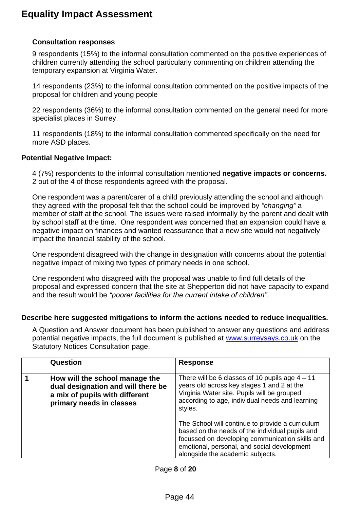### **Consultation responses**

9 respondents (15%) to the informal consultation commented on the positive experiences of children currently attending the school particularly commenting on children attending the temporary expansion at Virginia Water.

14 respondents (23%) to the informal consultation commented on the positive impacts of the proposal for children and young people

22 respondents (36%) to the informal consultation commented on the general need for more specialist places in Surrey.

11 respondents (18%) to the informal consultation commented specifically on the need for more ASD places.

#### **Potential Negative Impact:**

4 (7%) respondents to the informal consultation mentioned **negative impacts or concerns.**  2 out of the 4 of those respondents agreed with the proposal.

One respondent was a parent/carer of a child previously attending the school and although they agreed with the proposal felt that the school could be improved by *"changing"* a member of staff at the school. The issues were raised informally by the parent and dealt with by school staff at the time. One respondent was concerned that an expansion could have a negative impact on finances and wanted reassurance that a new site would not negatively impact the financial stability of the school.

One respondent disagreed with the change in designation with concerns about the potential negative impact of mixing two types of primary needs in one school.

One respondent who disagreed with the proposal was unable to find full details of the proposal and expressed concern that the site at Shepperton did not have capacity to expand and the result would be *"poorer facilities for the current intake of children".* 

#### **Describe here suggested mitigations to inform the actions needed to reduce inequalities.**

A Question and Answer document has been published to answer any questions and address potential negative impacts, the full document is published at [www.surreysays.co.uk](http://www.surreysays.co.uk/) on the Statutory Notices Consultation page.

| Question                                                                                                                           | <b>Response</b>                                                                                                                                                                                                                           |
|------------------------------------------------------------------------------------------------------------------------------------|-------------------------------------------------------------------------------------------------------------------------------------------------------------------------------------------------------------------------------------------|
| How will the school manage the<br>dual designation and will there be<br>a mix of pupils with different<br>primary needs in classes | There will be 6 classes of 10 pupils age $4 - 11$<br>years old across key stages 1 and 2 at the<br>Virginia Water site. Pupils will be grouped<br>according to age, individual needs and learning<br>styles.                              |
|                                                                                                                                    | The School will continue to provide a curriculum<br>based on the needs of the individual pupils and<br>focussed on developing communication skills and<br>emotional, personal, and social development<br>alongside the academic subjects. |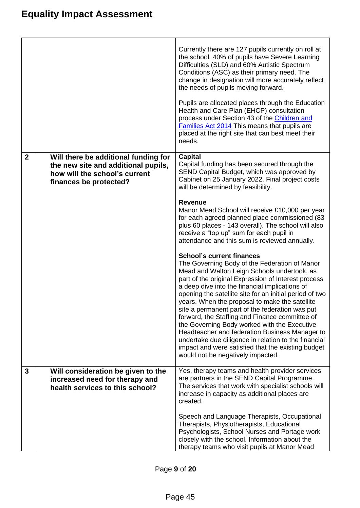|                |                                                                                                                                        | Currently there are 127 pupils currently on roll at<br>the school. 40% of pupils have Severe Learning<br>Difficulties (SLD) and 60% Autistic Spectrum<br>Conditions (ASC) as their primary need. The<br>change in designation will more accurately reflect<br>the needs of pupils moving forward.<br>Pupils are allocated places through the Education<br>Health and Care Plan (EHCP) consultation<br>process under Section 43 of the Children and<br><b>Families Act 2014</b> This means that pupils are<br>placed at the right site that can best meet their<br>needs.                                                                                                                                         |
|----------------|----------------------------------------------------------------------------------------------------------------------------------------|------------------------------------------------------------------------------------------------------------------------------------------------------------------------------------------------------------------------------------------------------------------------------------------------------------------------------------------------------------------------------------------------------------------------------------------------------------------------------------------------------------------------------------------------------------------------------------------------------------------------------------------------------------------------------------------------------------------|
| $\overline{2}$ | Will there be additional funding for<br>the new site and additional pupils,<br>how will the school's current<br>finances be protected? | Capital<br>Capital funding has been secured through the<br>SEND Capital Budget, which was approved by<br>Cabinet on 25 January 2022. Final project costs<br>will be determined by feasibility.                                                                                                                                                                                                                                                                                                                                                                                                                                                                                                                   |
|                |                                                                                                                                        | <b>Revenue</b><br>Manor Mead School will receive £10,000 per year<br>for each agreed planned place commissioned (83<br>plus 60 places - 143 overall). The school will also<br>receive a "top up" sum for each pupil in<br>attendance and this sum is reviewed annually.                                                                                                                                                                                                                                                                                                                                                                                                                                          |
|                |                                                                                                                                        | <b>School's current finances</b><br>The Governing Body of the Federation of Manor<br>Mead and Walton Leigh Schools undertook, as<br>part of the original Expression of Interest process<br>a deep dive into the financial implications of<br>opening the satellite site for an initial period of two<br>years. When the proposal to make the satellite<br>site a permanent part of the federation was put<br>forward, the Staffing and Finance committee of<br>the Governing Body worked with the Executive<br>Headteacher and federation Business Manager to<br>undertake due diligence in relation to the financial<br>impact and were satisfied that the existing budget<br>would not be negatively impacted. |
| 3              | Will consideration be given to the<br>increased need for therapy and<br>health services to this school?                                | Yes, therapy teams and health provider services<br>are partners in the SEND Capital Programme.<br>The services that work with specialist schools will<br>increase in capacity as additional places are<br>created.                                                                                                                                                                                                                                                                                                                                                                                                                                                                                               |
|                |                                                                                                                                        | Speech and Language Therapists, Occupational<br>Therapists, Physiotherapists, Educational<br>Psychologists, School Nurses and Portage work<br>closely with the school. Information about the<br>therapy teams who visit pupils at Manor Mead                                                                                                                                                                                                                                                                                                                                                                                                                                                                     |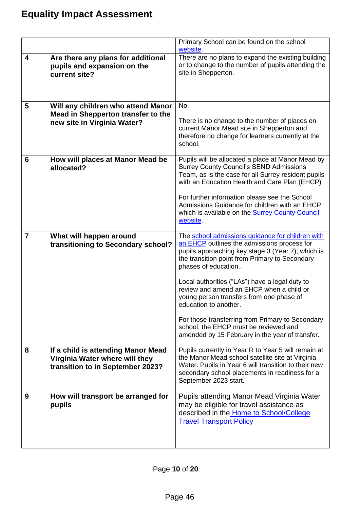|                         |                                                                                                          | Primary School can be found on the school<br>website.                                                                                                                                                                                                                                                                                                                                                                                                                                                                                            |
|-------------------------|----------------------------------------------------------------------------------------------------------|--------------------------------------------------------------------------------------------------------------------------------------------------------------------------------------------------------------------------------------------------------------------------------------------------------------------------------------------------------------------------------------------------------------------------------------------------------------------------------------------------------------------------------------------------|
| $\overline{\mathbf{4}}$ | Are there any plans for additional<br>pupils and expansion on the<br>current site?                       | There are no plans to expand the existing building<br>or to change to the number of pupils attending the<br>site in Shepperton.                                                                                                                                                                                                                                                                                                                                                                                                                  |
| 5                       | Will any children who attend Manor<br>Mead in Shepperton transfer to the<br>new site in Virginia Water?  | No.<br>There is no change to the number of places on<br>current Manor Mead site in Shepperton and<br>therefore no change for learners currently at the<br>school.                                                                                                                                                                                                                                                                                                                                                                                |
| 6                       | How will places at Manor Mead be<br>allocated?                                                           | Pupils will be allocated a place at Manor Mead by<br><b>Surrey County Council's SEND Admissions</b><br>Team, as is the case for all Surrey resident pupils<br>with an Education Health and Care Plan (EHCP)<br>For further information please see the School<br>Admissions Guidance for children with an EHCP,<br>which is available on the <b>Surrey County Council</b><br>website.                                                                                                                                                             |
| $\overline{7}$          | What will happen around<br>transitioning to Secondary school?                                            | The school admissions guidance for children with<br>an EHCP outlines the admissions process for<br>pupils approaching key stage 3 (Year 7), which is<br>the transition point from Primary to Secondary<br>phases of education<br>Local authorities ("LAs") have a legal duty to<br>review and amend an EHCP when a child or<br>young person transfers from one phase of<br>education to another.<br>For those transferring from Primary to Secondary<br>school, the EHCP must be reviewed and<br>amended by 15 February in the year of transfer. |
| 8                       | If a child is attending Manor Mead<br>Virginia Water where will they<br>transition to in September 2023? | Pupils currently in Year R to Year 5 will remain at<br>the Manor Mead school satellite site at Virginia<br>Water. Pupils in Year 6 will transition to their new<br>secondary school placements in readiness for a<br>September 2023 start.                                                                                                                                                                                                                                                                                                       |
| 9                       | How will transport be arranged for<br>pupils                                                             | Pupils attending Manor Mead Virginia Water<br>may be eligible for travel assistance as<br>described in the Home to School/College<br><b>Travel Transport Policy</b>                                                                                                                                                                                                                                                                                                                                                                              |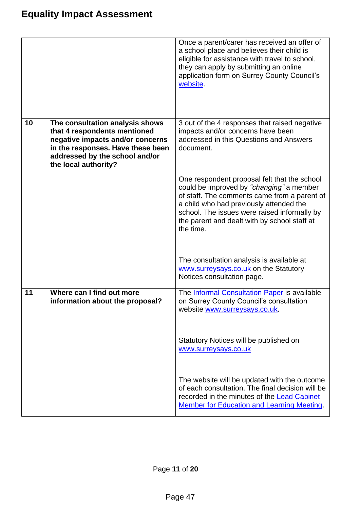|    |                                                                                                                                                                                                    | Once a parent/carer has received an offer of<br>a school place and believes their child is<br>eligible for assistance with travel to school,<br>they can apply by submitting an online<br>application form on Surrey County Council's<br>website.                                                |
|----|----------------------------------------------------------------------------------------------------------------------------------------------------------------------------------------------------|--------------------------------------------------------------------------------------------------------------------------------------------------------------------------------------------------------------------------------------------------------------------------------------------------|
| 10 | The consultation analysis shows<br>that 4 respondents mentioned<br>negative impacts and/or concerns<br>in the responses. Have these been<br>addressed by the school and/or<br>the local authority? | 3 out of the 4 responses that raised negative<br>impacts and/or concerns have been<br>addressed in this Questions and Answers<br>document.                                                                                                                                                       |
|    |                                                                                                                                                                                                    | One respondent proposal felt that the school<br>could be improved by "changing" a member<br>of staff. The comments came from a parent of<br>a child who had previously attended the<br>school. The issues were raised informally by<br>the parent and dealt with by school staff at<br>the time. |
|    |                                                                                                                                                                                                    | The consultation analysis is available at<br>www.surreysays.co.uk on the Statutory<br>Notices consultation page.                                                                                                                                                                                 |
| 11 | Where can I find out more<br>information about the proposal?                                                                                                                                       | The <b>Informal Consultation Paper</b> is available<br>on Surrey County Council's consultation<br>website www.surreysays.co.uk.                                                                                                                                                                  |
|    |                                                                                                                                                                                                    | Statutory Notices will be published on<br>www.surreysays.co.uk                                                                                                                                                                                                                                   |
|    |                                                                                                                                                                                                    | The website will be updated with the outcome<br>of each consultation. The final decision will be<br>recorded in the minutes of the Lead Cabinet<br><b>Member for Education and Learning Meeting.</b>                                                                                             |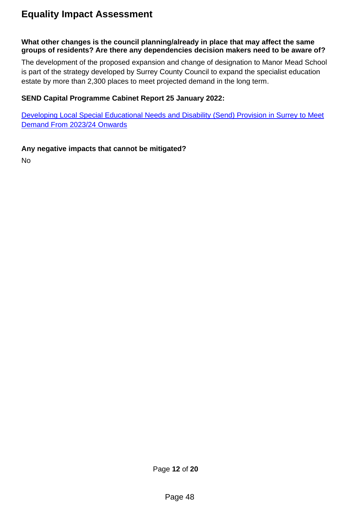### **What other changes is the council planning/already in place that may affect the same groups of residents? Are there any dependencies decision makers need to be aware of?**

The development of the proposed expansion and change of designation to Manor Mead School is part of the strategy developed by Surrey County Council to expand the specialist education estate by more than 2,300 places to meet projected demand in the long term.

### **SEND Capital Programme Cabinet Report 25 January 2022:**

Developing Local Special Educational Needs and [Disability \(Send\) Provision in Surrey to Meet](https://surreyccinternalportallb.surreycc.gov.uk/irj/portal)  [Demand From 2023/24 Onwards](https://surreyccinternalportallb.surreycc.gov.uk/irj/portal)

## **Any negative impacts that cannot be mitigated?**

No

Page **12** of **20**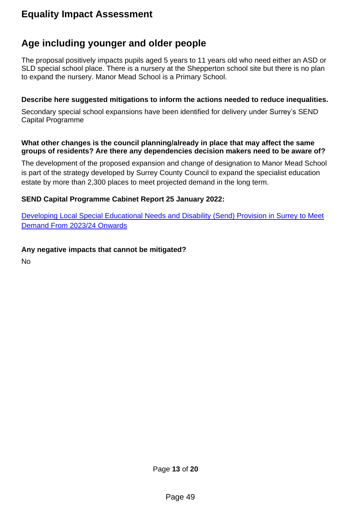## **Age including younger and older people**

The proposal positively impacts pupils aged 5 years to 11 years old who need either an ASD or SLD special school place. There is a nursery at the Shepperton school site but there is no plan to expand the nursery. Manor Mead School is a Primary School.

### **Describe here suggested mitigations to inform the actions needed to reduce inequalities.**

Secondary special school expansions have been identified for delivery under Surrey's SEND Capital Programme

#### **What other changes is the council planning/already in place that may affect the same groups of residents? Are there any dependencies decision makers need to be aware of?**

The development of the proposed expansion and change of designation to Manor Mead School is part of the strategy developed by Surrey County Council to expand the specialist education estate by more than 2,300 places to meet projected demand in the long term.

## **SEND Capital Programme Cabinet Report 25 January 2022:**

[Developing Local Special Educational Needs and](https://surreyccinternalportallb.surreycc.gov.uk/irj/portal) Disability (Send) Provision in Surrey to Meet [Demand From 2023/24 Onwards](https://surreyccinternalportallb.surreycc.gov.uk/irj/portal)

### **Any negative impacts that cannot be mitigated?**

No

Page **13** of **20**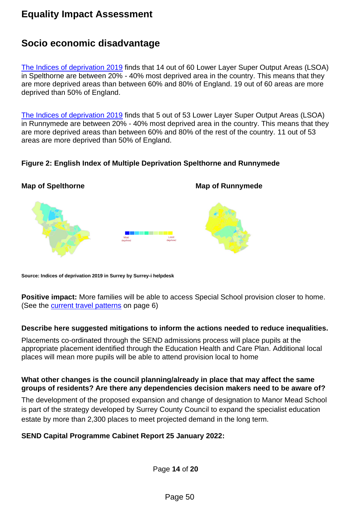## **Socio economic disadvantage**

[The Indices of deprivation 2019](https://public.tableau.com/app/profile/surrey.i.helpdesk/viz/IndicesofDeprivation2019inSurrey_15754546852010/Story1) finds that 14 out of 60 Lower Layer Super Output Areas (LSOA) in Spelthorne are between 20% - 40% most deprived area in the country. This means that they are more deprived areas than between 60% and 80% of England. 19 out of 60 areas are more deprived than 50% of England.

[The Indices of deprivation 2019](https://public.tableau.com/app/profile/surrey.i.helpdesk/viz/IndicesofDeprivation2019inSurrey_15754546852010/Story1) finds that 5 out of 53 Lower Layer Super Output Areas (LSOA) in Runnymede are between 20% - 40% most deprived area in the country. This means that they are more deprived areas than between 60% and 80% of the rest of the country. 11 out of 53 areas are more deprived than 50% of England.

### **Figure 2: English Index of Multiple Deprivation Spelthorne and Runnymede**



**Source: Indices of deprivation 2019 in Surrey by Surrey-i helpdesk**

**Positive impact:** More families will be able to access Special School provision closer to home. (See the [current travel patterns](#page-4-0) on page 6)

#### **Describe here suggested mitigations to inform the actions needed to reduce inequalities.**

Placements co-ordinated through the SEND admissions process will place pupils at the appropriate placement identified through the Education Health and Care Plan. Additional local places will mean more pupils will be able to attend provision local to home

#### **What other changes is the council planning/already in place that may affect the same groups of residents? Are there any dependencies decision makers need to be aware of?**

The development of the proposed expansion and change of designation to Manor Mead School is part of the strategy developed by Surrey County Council to expand the specialist education estate by more than 2,300 places to meet projected demand in the long term.

### **SEND Capital Programme Cabinet Report 25 January 2022:**

Page **14** of **20**

Page 50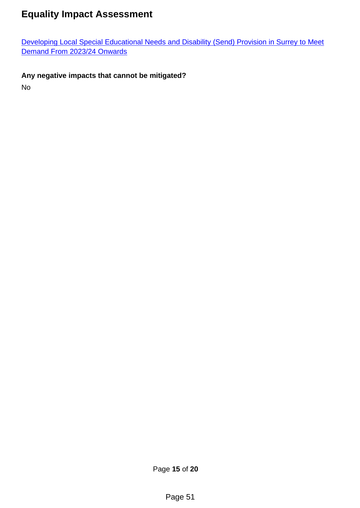Developing Local Special Educational Needs and [Disability \(Send\) Provision in Surrey to Meet](https://surreyccinternalportallb.surreycc.gov.uk/irj/portal)  [Demand From 2023/24 Onwards](https://surreyccinternalportallb.surreycc.gov.uk/irj/portal)

## **Any negative impacts that cannot be mitigated?**

No

Page **15** of **20**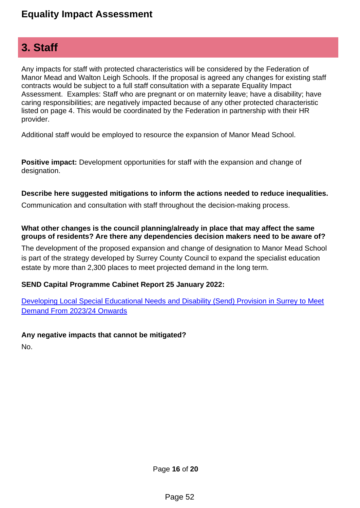## **3. Staff**

Any impacts for staff with protected characteristics will be considered by the Federation of Manor Mead and Walton Leigh Schools. If the proposal is agreed any changes for existing staff contracts would be subject to a full staff consultation with a separate Equality Impact Assessment. Examples: Staff who are pregnant or on maternity leave; have a disability; have caring responsibilities; are negatively impacted because of any other protected characteristic listed on page 4. This would be coordinated by the Federation in partnership with their HR provider.

Additional staff would be employed to resource the expansion of Manor Mead School.

**Positive impact:** Development opportunities for staff with the expansion and change of designation.

### **Describe here suggested mitigations to inform the actions needed to reduce inequalities.**

Communication and consultation with staff throughout the decision-making process.

#### **What other changes is the council planning/already in place that may affect the same groups of residents? Are there any dependencies decision makers need to be aware of?**

The development of the proposed expansion and change of designation to Manor Mead School is part of the strategy developed by Surrey County Council to expand the specialist education estate by more than 2,300 places to meet projected demand in the long term.

### **SEND Capital Programme Cabinet Report 25 January 2022:**

[Developing Local Special Educational Needs and](https://surreyccinternalportallb.surreycc.gov.uk/irj/portal) Disability (Send) Provision in Surrey to Meet [Demand From 2023/24 Onwards](https://surreyccinternalportallb.surreycc.gov.uk/irj/portal)

### **Any negative impacts that cannot be mitigated?**

No.

Page **16** of **20**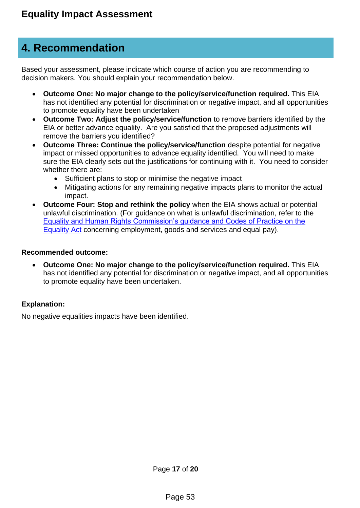## **4. Recommendation**

Based your assessment, please indicate which course of action you are recommending to decision makers. You should explain your recommendation below.

- **Outcome One: No major change to the policy/service/function required.** This EIA has not identified any potential for discrimination or negative impact, and all opportunities to promote equality have been undertaken
- **Outcome Two: Adjust the policy/service/function** to remove barriers identified by the EIA or better advance equality. Are you satisfied that the proposed adjustments will remove the barriers you identified?
- **Outcome Three: Continue the policy/service/function** despite potential for negative impact or missed opportunities to advance equality identified. You will need to make sure the EIA clearly sets out the justifications for continuing with it. You need to consider whether there are:
	- Sufficient plans to stop or minimise the negative impact
	- Mitigating actions for any remaining negative impacts plans to monitor the actual impact.
- **Outcome Four: Stop and rethink the policy** when the EIA shows actual or potential unlawful discrimination. (For guidance on what is unlawful discrimination, refer to the [Equality and Human Rights Commission's guidance and Codes of Practice on the](https://www.equalityhumanrights.com/en/advice-and-guidance/equality-act-codes-practice)  [Equality Act](https://www.equalityhumanrights.com/en/advice-and-guidance/equality-act-codes-practice) concerning employment, goods and services and equal pay).

#### **Recommended outcome:**

• **Outcome One: No major change to the policy/service/function required.** This EIA has not identified any potential for discrimination or negative impact, and all opportunities to promote equality have been undertaken.

### **Explanation:**

No negative equalities impacts have been identified.

Page **17** of **20**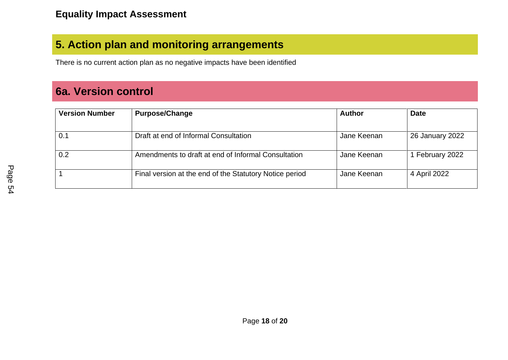# **5. Action plan and monitoring arrangements**

There is no current action plan as no negative impacts have been identified

# **6a. Version control**

| <b>Version Number</b> | <b>Purpose/Change</b>                                   | <b>Author</b> | <b>Date</b>     |
|-----------------------|---------------------------------------------------------|---------------|-----------------|
|                       |                                                         |               |                 |
| 0.1                   | Draft at end of Informal Consultation                   | Jane Keenan   | 26 January 2022 |
| 0.2                   | Amendments to draft at end of Informal Consultation     | Jane Keenan   | 1 February 2022 |
|                       | Final version at the end of the Statutory Notice period | Jane Keenan   | 4 April 2022    |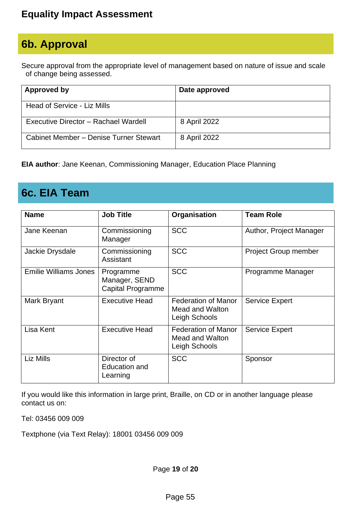# **6b. Approval**

Secure approval from the appropriate level of management based on nature of issue and scale of change being assessed.

| Approved by                            | Date approved |
|----------------------------------------|---------------|
| Head of Service - Liz Mills            |               |
| Executive Director - Rachael Wardell   | 8 April 2022  |
| Cabinet Member - Denise Turner Stewart | 8 April 2022  |

**EIA author**: Jane Keenan, Commissioning Manager, Education Place Planning

## **6c. EIA Team**

| <b>Name</b>                  | <b>Job Title</b>                                       | Organisation                                                   | <b>Team Role</b>        |
|------------------------------|--------------------------------------------------------|----------------------------------------------------------------|-------------------------|
| Jane Keenan                  | Commissioning<br>Manager                               | <b>SCC</b>                                                     | Author, Project Manager |
| Jackie Drysdale              | Commissioning<br>Assistant                             | <b>SCC</b>                                                     | Project Group member    |
| <b>Emilie Williams Jones</b> | Programme<br>Manager, SEND<br><b>Capital Programme</b> | <b>SCC</b>                                                     | Programme Manager       |
| Mark Bryant                  | <b>Executive Head</b>                                  | <b>Federation of Manor</b><br>Mead and Walton<br>Leigh Schools | <b>Service Expert</b>   |
| Lisa Kent                    | <b>Executive Head</b>                                  | <b>Federation of Manor</b><br>Mead and Walton<br>Leigh Schools | <b>Service Expert</b>   |
| Liz Mills                    | Director of<br><b>Education and</b><br>Learning        | <b>SCC</b>                                                     | Sponsor                 |

If you would like this information in large print, Braille, on CD or in another language please contact us on:

Tel: 03456 009 009

Textphone (via Text Relay): 18001 03456 009 009

Page **19** of **20**